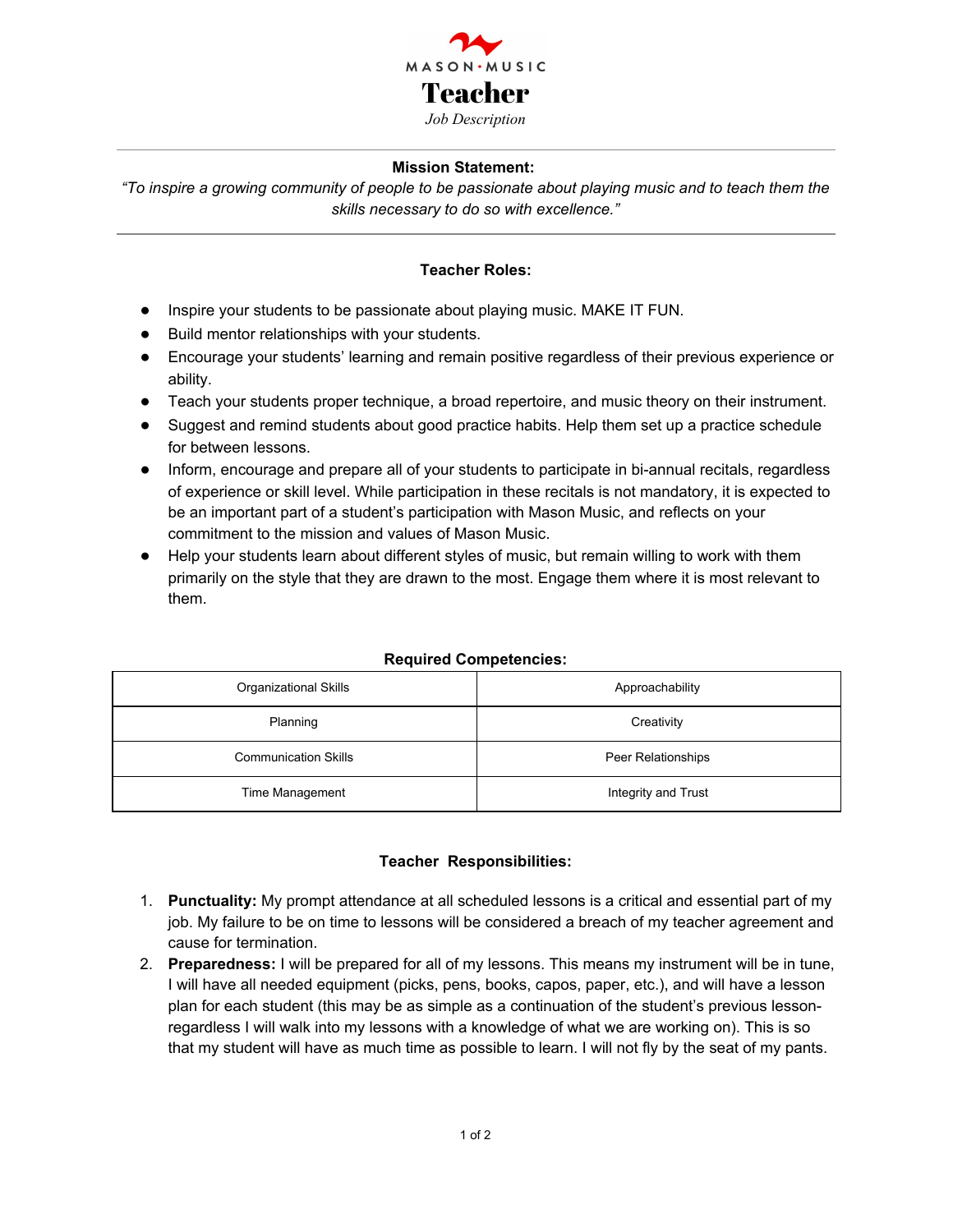

### **Mission Statement:**

"To inspire a growing community of people to be passionate about playing music and to teach them the *skills necessary to do so with excellence."*

## **Teacher Roles:**

- Inspire your students to be passionate about playing music. MAKE IT FUN.
- Build mentor relationships with your students.
- Encourage your students' learning and remain positive regardless of their previous experience or ability.
- Teach your students proper technique, a broad repertoire, and music theory on their instrument.
- Suggest and remind students about good practice habits. Help them set up a practice schedule for between lessons.
- Inform, encourage and prepare all of your students to participate in bi-annual recitals, regardless of experience or skill level. While participation in these recitals is not mandatory, it is expected to be an important part of a student's participation with Mason Music, and reflects on your commitment to the mission and values of Mason Music.
- Help your students learn about different styles of music, but remain willing to work with them primarily on the style that they are drawn to the most. Engage them where it is most relevant to them.

| Organizational Skills       | Approachability     |
|-----------------------------|---------------------|
| Planning                    | Creativity          |
| <b>Communication Skills</b> | Peer Relationships  |
| Time Management             | Integrity and Trust |

#### **Required Competencies:**

#### **Teacher Responsibilities:**

- 1. **Punctuality:** My prompt attendance at all scheduled lessons is a critical and essential part of my job. My failure to be on time to lessons will be considered a breach of my teacher agreement and cause for termination.
- 2. **Preparedness:** I will be prepared for all of my lessons. This means my instrument will be in tune, I will have all needed equipment (picks, pens, books, capos, paper, etc.), and will have a lesson plan for each student (this may be as simple as a continuation of the student's previous lessonregardless I will walk into my lessons with a knowledge of what we are working on). This is so that my student will have as much time as possible to learn. I will not fly by the seat of my pants.